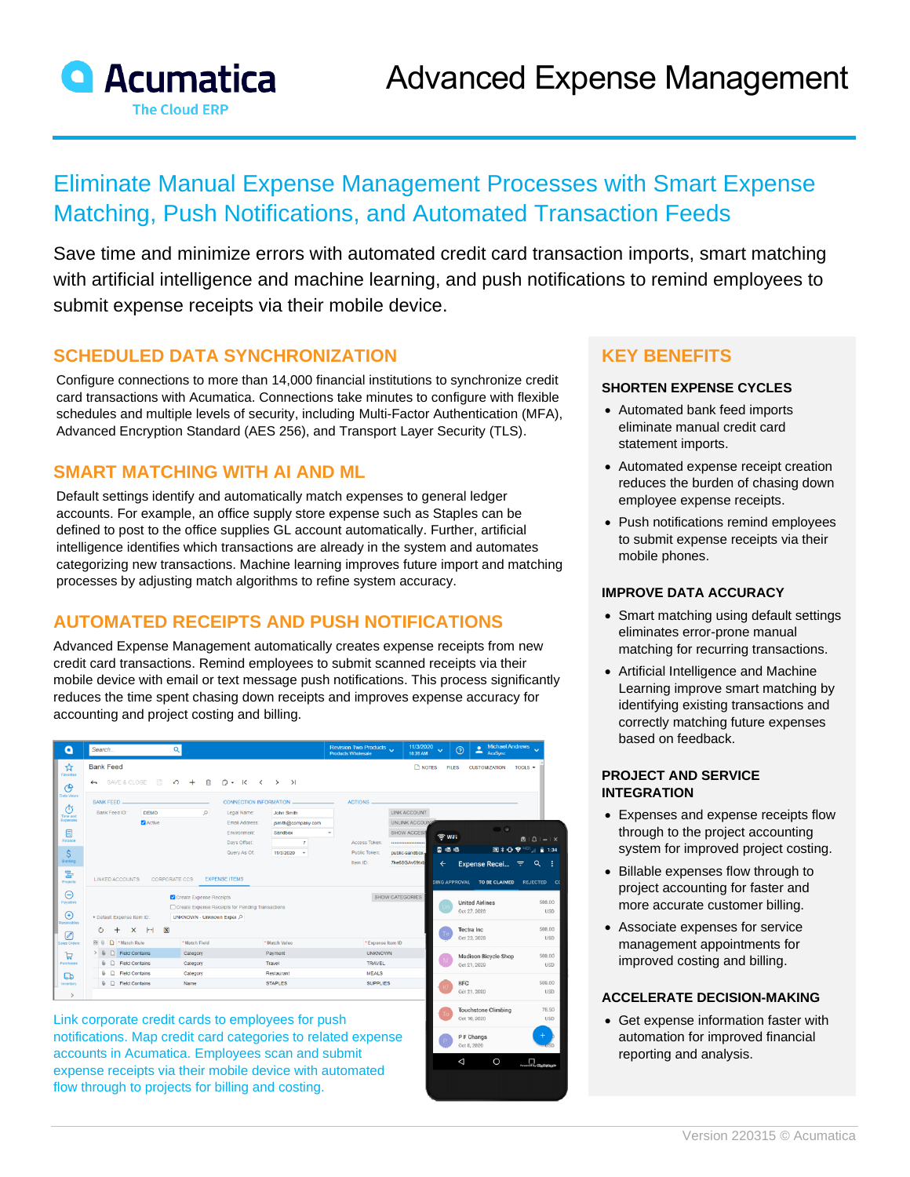

# Eliminate Manual Expense Management Processes with Smart Expense Matching, Push Notifications, and Automated Transaction Feeds

Save time and minimize errors with automated credit card transaction imports, smart matching with artificial intelligence and machine learning, and push notifications to remind employees to submit expense receipts via their mobile device.

> Oct 10, 2020 P F Changs

### **SCHEDULED DATA SYNCHRONIZATION**

Configure connections to more than 14,000 financial institutions to synchronize credit card transactions with Acumatica. Connections take minutes to configure with flexible schedules and multiple levels of security, including Multi-Factor Authentication (MFA), Advanced Encryption Standard (AES 256), and Transport Layer Security (TLS).

# **SMART MATCHING WITH AI AND ML**

Default settings identify and automatically match expenses to general ledger accounts. For example, an office supply store expense such as Staples can be defined to post to the office supplies GL account automatically. Further, artificial intelligence identifies which transactions are already in the system and automates categorizing new transactions. Machine learning improves future import and matching processes by adjusting match algorithms to refine system accuracy.

# **AUTOMATED RECEIPTS AND PUSH NOTIFICATIONS**

Advanced Expense Management automatically creates expense receipts from new credit card transactions. Remind employees to submit scanned receipts via their mobile device with email or text message push notifications. This process significantly reduces the time spent chasing down receipts and improves expense accuracy for accounting and project costing and billing.

| ٥                                            | Search                                                                                                                                                                                                                                                                                          |                                | $\alpha$                                                             |                                      |                                                                                     |  | Revision Two Products<br>Products Wholesale |                                                                                        | 11/3/2020<br>10:28 AM              | $\ddotmark$                          | $\odot$                            | <b>Michael Andrews</b><br>٠<br>č<br>AcuSync                                |     |                                                      |  |
|----------------------------------------------|-------------------------------------------------------------------------------------------------------------------------------------------------------------------------------------------------------------------------------------------------------------------------------------------------|--------------------------------|----------------------------------------------------------------------|--------------------------------------|-------------------------------------------------------------------------------------|--|---------------------------------------------|----------------------------------------------------------------------------------------|------------------------------------|--------------------------------------|------------------------------------|----------------------------------------------------------------------------|-----|------------------------------------------------------|--|
| ☆<br>Favorites<br>ල                          | <b>Bank Feed</b><br>SAVE & CLOSE<br>$\leftarrow$                                                                                                                                                                                                                                                |                                | <b>NOTES</b><br><b>FILES</b><br>TOOLS $\sim$<br><b>CUSTOMIZATION</b> |                                      |                                                                                     |  |                                             |                                                                                        |                                    |                                      |                                    |                                                                            |     |                                                      |  |
| Data Vieurs<br>ෆ්<br>Time and<br>Expenses    | <b>BANK FEED</b><br>Bank Feed ID:                                                                                                                                                                                                                                                               | <b>DEMO</b><br><b>Z</b> Active | $\circ$                                                              | Legal Name:                          | <b>CONNECTION INFORMATION</b><br>John Smith<br>Email Address:<br>jsmith@company.com |  |                                             | <b>ACTIONS</b><br>LINK ACCOUNT<br>UNLINK ACCOUNT                                       |                                    |                                      |                                    |                                                                            |     |                                                      |  |
| $\blacksquare$<br>Finance                    |                                                                                                                                                                                                                                                                                                 |                                |                                                                      | Environment:<br>Days Offset:         | Sandbox<br>$\overline{7}$                                                           |  | Access Token:                               |                                                                                        | SHOW ACCESS<br><br>public-sandbox- |                                      | $\widehat{\mathbb{R}}$ Wifi<br>自退退 | $\bullet$                                                                  |     | $\mathbf{B} \mid \Delta \mid - \mid$<br>图米亚罗 "啊……"12 |  |
| $\mathsf{S}$<br>Banking<br>물<br>Projects     | <b>LINKED ACCOUNTS</b>                                                                                                                                                                                                                                                                          |                                | CORPORATE CCS                                                        | Query As Of:<br><b>EXPENSE ITEMS</b> | 11/3/2020<br>$\;$                                                                   |  | Public Token:<br>Item ID:                   | 7ke68GAv69txb                                                                          |                                    | $\leftarrow$<br><b>DING APPROVAL</b> |                                    | <b>Expense Recei</b>                                                       | - F | $\alpha$<br><b>REJECTED</b>                          |  |
| Θ<br>Payables<br>$^\circledR$<br>Receivables | * Default Expense Item ID:                                                                                                                                                                                                                                                                      |                                | Create Expense Receipts<br>UNKNOWN - Unknown Exper O                 |                                      | □ Create Expense Receipts for Pending Transactions                                  |  |                                             | SHOW CATEGORIES                                                                        |                                    |                                      | Oct 27, 2020                       | TO BE CLAIMED<br><b>United Airlines</b>                                    |     | 500.00<br><b>USD</b>                                 |  |
| $\varnothing$<br>Sales Orders                | $\left  - \right $ $\left  \overline{\mathbf{x}} \right $<br>Ó<br>$^{+}$<br>$\times$<br>Match Rule<br>四日<br>*Match Field<br>D Field Contains<br>> 0<br>Category<br>$\mathbb{G}$ $\Box$ Field Contains<br>Category<br><b>0</b> D Field Contains<br>Category<br><b>0</b> □ Field Contains<br>Name |                                |                                                                      |                                      | *Match Value<br>Payment<br>Travel<br>Restaurant<br><b>STAPLES</b>                   |  |                                             | *Expense Item ID<br><b>UNKNOWN</b><br><b>TRAVEL</b><br><b>MEALS</b><br><b>SUPPLIES</b> |                                    |                                      |                                    | <b>Tectra</b> Inc.<br>Oct 22, 2020<br>Madison Bicycle Shop<br>Oct 21, 2020 |     | 500.00<br><b>USD</b>                                 |  |
| ਥ<br>Purchases                               |                                                                                                                                                                                                                                                                                                 |                                |                                                                      |                                      |                                                                                     |  |                                             |                                                                                        |                                    |                                      |                                    |                                                                            |     | 500.00<br><b>USD</b>                                 |  |
| ದಾ<br>Inventory<br>$\rightarrow$             |                                                                                                                                                                                                                                                                                                 |                                |                                                                      |                                      |                                                                                     |  |                                             |                                                                                        |                                    |                                      | <b>KFC</b><br>Oct 21, 2020         |                                                                            |     | 500.00<br><b>USE</b>                                 |  |
|                                              |                                                                                                                                                                                                                                                                                                 |                                |                                                                      |                                      |                                                                                     |  |                                             |                                                                                        |                                    |                                      |                                    | Touchstone Climbing                                                        |     | 78.50                                                |  |

Link corporate credit cards to employees for push notifications. Map credit card categories to related expense accounts in Acumatica. Employees scan and submit expense receipts via their mobile device with automated flow through to projects for billing and costing.

### **KEY BENEFITS**

#### **SHORTEN EXPENSE CYCLES**

- Automated bank feed imports eliminate manual credit card statement imports.
- Automated expense receipt creation reduces the burden of chasing down employee expense receipts.
- Push notifications remind employees to submit expense receipts via their mobile phones.

#### **IMPROVE DATA ACCURACY**

- Smart matching using default settings eliminates error-prone manual matching for recurring transactions.
- Artificial Intelligence and Machine Learning improve smart matching by identifying existing transactions and correctly matching future expenses based on feedback.

#### **PROJECT AND SERVICE INTEGRATION**

- Expenses and expense receipts flow through to the project accounting system for improved project costing.
- Billable expenses flow through to project accounting for faster and more accurate customer billing.
- Associate expenses for service management appointments for improved costing and billing.

#### **ACCELERATE DECISION-MAKING**

• Get expense information faster with automation for improved financial reporting and analysis.